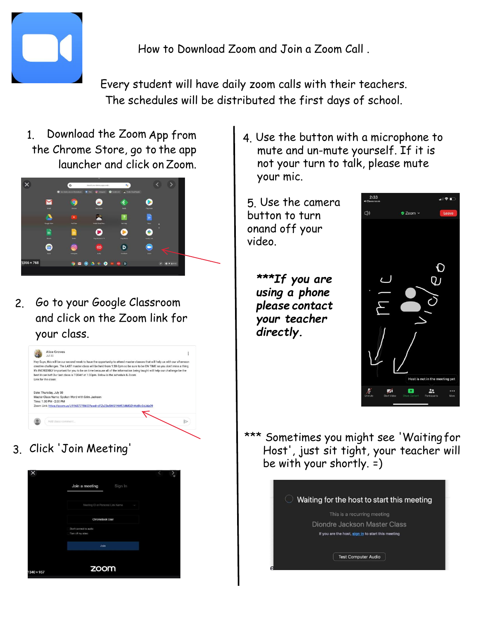

How to Download Zoom and Join a Zoom Call .

Every student will have daily zoom calls with their teachers. The schedules will be distributed the first days of school.

1. Download the Zoom App from the Chrome Store, go to the app launcher and click on Zoom.



2. Go to your Google Classroom and click on the Zoom link for your class.



3. Click 'Join Meeting'



- 4. Use the button with a microphone to mute and un-mute yourself. If it is not your turn to talk, please mute your mic.
- 5. Use the camera button to turn onand off your video.
	- *\*\*\*If you are using a phone please contact your teacher directly.*



\*\*\* Sometimes you might see 'Waiting for Host', just sit tight, your teacher will be with your shortly. =)